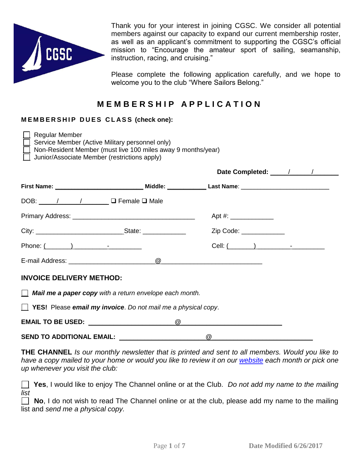

Thank you for your interest in joining CGSC. We consider all potential members against our capacity to expand our current membership roster, as well as an applicant's commitment to supporting the CGSC's official mission to "Encourage the amateur sport of sailing, seamanship, instruction, racing, and cruising."

Please complete the following application carefully, and we hope to welcome you to the club "Where Sailors Belong."

## **M E M B E R S H I P A P P L I C A T I O N**

## **M E M B E R S H I P D U E S C L A S S (check one):**

| <b>Regular Member</b><br>Service Member (Active Military personnel only)<br>Non-Resident Member (must live 100 miles away 9 months/year)<br>Junior/Associate Member (restrictions apply) |          |                        |  |  |  |
|------------------------------------------------------------------------------------------------------------------------------------------------------------------------------------------|----------|------------------------|--|--|--|
|                                                                                                                                                                                          |          | Date Completed: / / /  |  |  |  |
| First Name: __________________________________Middle: _______________Last Name: ______________________________                                                                           |          |                        |  |  |  |
| DOB: / / / / <b>DOB:</b> DOB: / / / <b>DOB:</b> DOB: / / / / <b>D</b>                                                                                                                    |          |                        |  |  |  |
|                                                                                                                                                                                          |          |                        |  |  |  |
|                                                                                                                                                                                          |          | Zip Code: ____________ |  |  |  |
| Phone: $($ $)$ $)$ $  -$                                                                                                                                                                 |          | Cell: $(\_\_\_\_)$     |  |  |  |
|                                                                                                                                                                                          |          |                        |  |  |  |
| <b>INVOICE DELIVERY METHOD:</b>                                                                                                                                                          |          |                        |  |  |  |
| $\Box$ Mail me a paper copy with a return envelope each month.                                                                                                                           |          |                        |  |  |  |
| <b>T</b> YES! Please email my invoice. Do not mail me a physical copy.                                                                                                                   |          |                        |  |  |  |
|                                                                                                                                                                                          | $\omega$ |                        |  |  |  |
| <b>SEND TO ADDITIONAL EMAIL:</b>                                                                                                                                                         |          | $^\copyright$          |  |  |  |

**THE CHANNEL** *Is our monthly newsletter that is printed and sent to all members. Would you like to have a copy mailed to your home or would you like to review it on our [website](http://www.cgsc.org/thechannel) each month or pick one up whenever you visit the club:*

 **Yes**, I would like to enjoy The Channel online or at the Club. *Do not add my name to the mailing list*

**No**, I do not wish to read The Channel online or at the club, please add my name to the mailing list and *send me a physical copy.*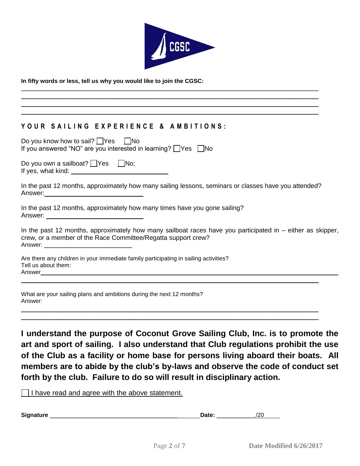

\_\_\_\_\_\_\_\_\_\_\_\_\_\_\_\_\_\_\_\_\_\_\_\_\_\_\_\_\_\_\_\_\_\_\_\_\_\_\_\_\_\_\_\_\_\_\_\_\_\_\_\_\_\_\_\_\_\_\_\_\_\_\_\_\_\_\_\_\_\_\_\_\_\_\_\_\_\_\_\_\_\_\_\_\_\_\_\_\_\_\_  $\mathcal{L}_\mathcal{L} = \mathcal{L}_\mathcal{L} = \mathcal{L}_\mathcal{L} = \mathcal{L}_\mathcal{L} = \mathcal{L}_\mathcal{L} = \mathcal{L}_\mathcal{L} = \mathcal{L}_\mathcal{L} = \mathcal{L}_\mathcal{L} = \mathcal{L}_\mathcal{L} = \mathcal{L}_\mathcal{L} = \mathcal{L}_\mathcal{L} = \mathcal{L}_\mathcal{L} = \mathcal{L}_\mathcal{L} = \mathcal{L}_\mathcal{L} = \mathcal{L}_\mathcal{L} = \mathcal{L}_\mathcal{L} = \mathcal{L}_\mathcal{L}$ \_\_\_\_\_\_\_\_\_\_\_\_\_\_\_\_\_\_\_\_\_\_\_\_\_\_\_\_\_\_\_\_\_\_\_\_\_\_\_\_\_\_\_\_\_\_\_\_\_\_\_\_\_\_\_\_\_\_\_\_\_\_\_\_\_\_\_\_\_\_\_\_\_\_\_\_\_\_\_\_\_\_\_\_\_\_\_\_\_\_\_ \_\_\_\_\_\_\_\_\_\_\_\_\_\_\_\_\_\_\_\_\_\_\_\_\_\_\_\_\_\_\_\_\_\_\_\_\_\_\_\_\_\_\_\_\_\_\_\_\_\_\_\_\_\_\_\_\_\_\_\_\_\_\_\_\_\_\_\_\_\_\_\_\_\_\_\_\_\_\_\_\_\_\_\_\_\_\_\_\_\_\_

#### **In fifty words or less, tell us why you would like to join the CGSC:**

## **Y O U R S A I L I N G E X P E R I E N C E & A M B I T I O N S :**

| Do you know how to sail?     Yes       No<br>If you answered "NO" are you interested in learning? □Yes □No                                                                    |
|-------------------------------------------------------------------------------------------------------------------------------------------------------------------------------|
| Do you own a sailboat? Ves INo;                                                                                                                                               |
| In the past 12 months, approximately how many sailing lessons, seminars or classes have you attended?                                                                         |
| In the past 12 months, approximately how many times have you gone sailing?                                                                                                    |
| In the past 12 months, approximately how many sailboat races have you participated in $-$ either as skipper,<br>crew, or a member of the Race Committee/Regatta support crew? |
| Are there any children in your immediate family participating in sailing activities?<br>Tell us about them:                                                                   |
| What are your sailing plans and ambitions during the next 12 months?<br>Answer:                                                                                               |

**I understand the purpose of Coconut Grove Sailing Club, Inc. is to promote the art and sport of sailing. I also understand that Club regulations prohibit the use of the Club as a facility or home base for persons living aboard their boats. All members are to abide by the club's by-laws and observe the code of conduct set forth by the club. Failure to do so will result in disciplinary action.** 

\_\_\_\_\_\_\_\_\_\_\_\_\_\_\_\_\_\_\_\_\_\_\_\_\_\_\_\_\_\_\_\_\_\_\_\_\_\_\_\_\_\_\_\_\_\_\_\_\_\_\_\_\_\_\_\_\_\_\_\_\_\_\_\_\_\_\_\_\_\_\_\_\_\_\_\_\_\_\_\_\_\_\_\_\_\_\_\_\_\_\_

 $\Box$  I have read and agree with the above statement.

| Signature | . | ۔ ، |
|-----------|---|-----|
|           |   |     |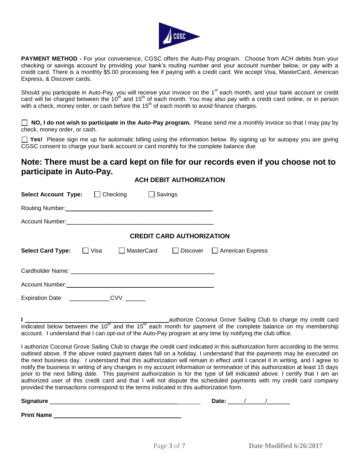

**PAYMENT METHOD -** For your convenience, CGSC offers the Auto-Pay program. Choose from ACH debits from your checking or savings account by providing your bank's routing number and your account number below, or pay with a credit card. There is a monthly \$5.00 processing fee if paying with a credit card. We accept Visa, MasterCard, American Express, & Discover cards.

Should you participate in Auto-Pay, you will receive your invoice on the 1<sup>st</sup> each month, and your bank account or credit card will be charged between the  $10^{th}$  and  $15^{th}$  of each month. You may also pay with a credit card online, or in person with a check, money order, or cash before the 15<sup>th</sup> of each month to avoid finance charges.

 **NO, I do not wish to participate in the Auto-Pay program.** Please send me a monthly invoice so that I may pay by check, money order, or cash.

**Yes!** Please sign me up for automatic billing using the information below. By signing up for autopay you are giving CGSC consent to charge your bank account or card monthly for the complete balance due

## **Note: There must be a card kept on file for our records even if you choose not to participate in Auto-Pay.**

**ACH DEBIT AUTHORIZATION**

| <b>Select Account Type:</b>                                       |      | Checking          | Savings                          |                  |
|-------------------------------------------------------------------|------|-------------------|----------------------------------|------------------|
|                                                                   |      |                   |                                  |                  |
| Account Number: National Account Number: National Account Number: |      |                   |                                  |                  |
|                                                                   |      |                   | <b>CREDIT CARD AUTHORIZATION</b> |                  |
| <b>Select Card Type:</b>                                          | Visa | <b>MasterCard</b> | Discover                         | American Express |
|                                                                   |      |                   |                                  |                  |
|                                                                   |      |                   |                                  |                  |
| Expiration Date __________                                        |      | CVV               |                                  |                  |

**I** \_\_\_\_\_\_\_\_\_\_\_\_\_\_\_\_\_\_\_\_\_\_\_\_\_\_\_\_\_\_\_\_\_\_\_\_\_\_\_\_\_\_\_\_authorize Coconut Grove Sailing Club to charge my credit card indicated below between the 10<sup>th</sup> and the 15<sup>th</sup> each month for payment of the complete balance on my membership account. I understand that I can opt-out of the Auto-Pay program at any time by notifying the club office.

I authorize Coconut Grove Sailing Club to charge the credit card indicated in this authorization form according to the terms outlined above. If the above noted payment dates fall on a holiday, I understand that the payments may be executed on the next business day. I understand that this authorization will remain in effect until I cancel it in writing, and I agree to notify the business in writing of any changes in my account information or termination of this authorization at least 15 days prior to the next billing date. This payment authorization is for the type of bill indicated above. I certify that I am an authorized user of this credit card and that I will not dispute the scheduled payments with my credit card company provided the transactions correspond to the terms indicated in this authorization form.

| Sigr |  |  |
|------|--|--|
|      |  |  |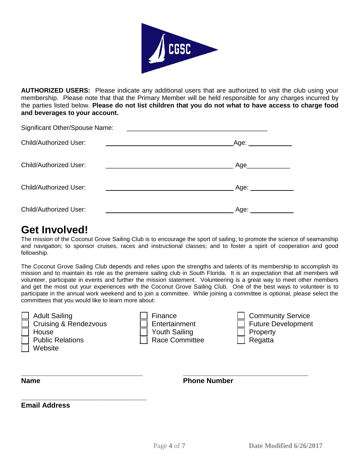

**AUTHORIZED USERS:** Please indicate any additional users that are authorized to visit the club using your membership. Please note that that the Primary Member will be held responsible for any charges incurred by the parties listed below. **Please do not list children that you do not what to have access to charge food and beverages to your account.**

| Significant Other/Spouse Name: |                      |
|--------------------------------|----------------------|
| <b>Child/Authorized User:</b>  | Age:                 |
| <b>Child/Authorized User:</b>  | Age_____________     |
| <b>Child/Authorized User:</b>  | Age: _______________ |
| <b>Child/Authorized User:</b>  | Age:                 |

# **Get Involved!**

The mission of the Coconut Grove Sailing Club is to encourage the sport of sailing; to promote the science of seamanship and navigation; to sponsor cruises, races and instructional classes; and to foster a spirit of cooperation and good fellowship.

The Coconut Grove Sailing Club depends and relies upon the strengths and talents of its membership to accomplish its mission and to maintain its role as the premiere sailing club in South Florida. It is an expectation that all members will volunteer, participate in events and further the mission statement. Volunteering is a great way to meet other members and get the most out your experiences with the Coconut Grove Sailing Club. One of the best ways to volunteer is to participate in the annual work weekend and to join a committee. While joining a committee is optional, please select the committees that you would like to learn more about:

| Η |
|---|
| ┡ |
|   |

| <b>Adult Sailing</b>             | Finance              | Commur          |
|----------------------------------|----------------------|-----------------|
| <b>Cruising &amp; Rendezvous</b> | $\Box$ Entertainment | $\Box$ Future D |
| House                            | $\Box$ Youth Sailing | Property        |
| <b>Public Relations</b>          | □ Race Committee     | $\Box$ Regatta  |
| Website                          |                      |                 |

**\_\_\_\_\_\_\_\_\_\_\_\_\_\_\_\_\_\_\_\_\_\_\_\_\_\_\_\_\_\_\_\_**

| Finance       |
|---------------|
| Entertainment |
| Youth Sailing |
| Race Commit   |

| <b>Adult Sailing</b>             | <b>Finance</b> | <b>Community Service</b> |
|----------------------------------|----------------|--------------------------|
| <b>Cruising &amp; Rendezvous</b> | Entertainment  | Future Development       |
| House                            | Youth Sailing  | Property                 |
| <b>Public Relations</b>          | Race Committee | Regatta                  |
|                                  |                |                          |

**\_\_\_\_\_\_\_\_\_\_\_\_\_\_\_\_\_\_\_\_\_\_\_\_\_\_\_\_\_\_\_ Name**

**\_\_\_\_\_\_\_\_\_\_\_\_\_\_\_\_\_\_\_\_\_\_\_\_\_\_\_\_\_\_\_\_ Phone Number**

**Email Address**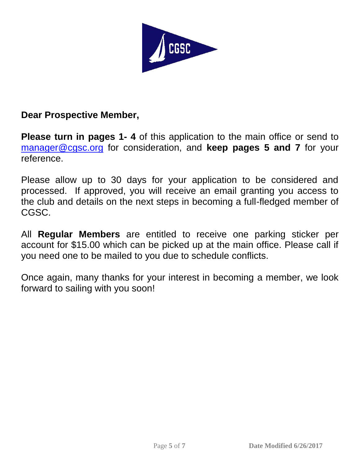

## **Dear Prospective Member,**

**Please turn in pages 1- 4** of this application to the main office or send to [manager@cgsc.org](mailto:manager@cgsc.org) for consideration, and **keep pages 5 and 7** for your reference.

Please allow up to 30 days for your application to be considered and processed. If approved, you will receive an email granting you access to the club and details on the next steps in becoming a full-fledged member of CGSC.

All **Regular Members** are entitled to receive one parking sticker per account for \$15.00 which can be picked up at the main office. Please call if you need one to be mailed to you due to schedule conflicts.

Once again, many thanks for your interest in becoming a member, we look forward to sailing with you soon!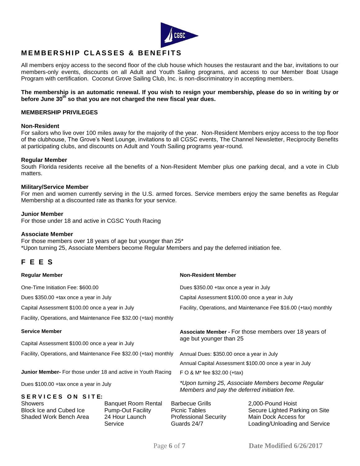

## **M E M B E R S H I P C L AS S E S & B E N E F I T S**

All members enjoy access to the second floor of the club house which houses the restaurant and the bar, invitations to our members-only events, discounts on all Adult and Youth Sailing programs, and access to our Member Boat Usage Program with certification. Coconut Grove Sailing Club, Inc. is non-discriminatory in accepting members.

#### **The membership is an automatic renewal. If you wish to resign your membership, please do so in writing by or before June 30th so that you are not charged the new fiscal year dues.**

#### **MEMBERSHIP PRIVILEGES**

#### **Non-Resident**

For sailors who live over 100 miles away for the majority of the year. Non-Resident Members enjoy access to the top floor of the clubhouse, The Grove's Nest Lounge, invitations to all CGSC events, The Channel Newsletter, Reciprocity Benefits at participating clubs, and discounts on Adult and Youth Sailing programs year-round.

#### **Regular Member**

South Florida residents receive all the benefits of a Non-Resident Member plus one parking decal, and a vote in Club matters.

#### **Military/Service Member**

For men and women currently serving in the U.S. armed forces. Service members enjoy the same benefits as Regular Membership at a discounted rate as thanks for your service.

#### **Junior Member**

For those under 18 and active in CGSC Youth Racing

#### **Associate Member**

For those members over 18 years of age but younger than 25\* \*Upon turning 25, Associate Members become Regular Members and pay the deferred initiation fee.

## **F E E S**

| <b>Regular Member</b>                                                                           |                                                                                     | <b>Non-Resident Member</b> |                                                                                                    |                                                                                                              |  |
|-------------------------------------------------------------------------------------------------|-------------------------------------------------------------------------------------|----------------------------|----------------------------------------------------------------------------------------------------|--------------------------------------------------------------------------------------------------------------|--|
| One-Time Initiation Fee: \$600.00                                                               |                                                                                     |                            | Dues \$350.00 + tax once a year in July                                                            |                                                                                                              |  |
| Dues \$350.00 +tax once a year in July                                                          |                                                                                     |                            | Capital Assessment \$100.00 once a year in July                                                    |                                                                                                              |  |
| Capital Assessment \$100.00 once a year in July                                                 |                                                                                     |                            | Facility, Operations, and Maintenance Fee \$16.00 (+tax) monthly                                   |                                                                                                              |  |
| Facility, Operations, and Maintenance Fee \$32.00 (+tax) monthly                                |                                                                                     |                            |                                                                                                    |                                                                                                              |  |
| <b>Service Member</b>                                                                           |                                                                                     |                            | Associate Member - For those members over 18 years of                                              |                                                                                                              |  |
| Capital Assessment \$100.00 once a year in July                                                 |                                                                                     |                            | age but younger than 25                                                                            |                                                                                                              |  |
| Facility, Operations, and Maintenance Fee \$32.00 (+tax) monthly                                |                                                                                     |                            | Annual Dues: \$350.00 once a year in July                                                          |                                                                                                              |  |
|                                                                                                 |                                                                                     |                            | Annual Capital Assessment \$100.00 once a year in July                                             |                                                                                                              |  |
| <b>Junior Member-</b> For those under 18 and active in Youth Racing                             |                                                                                     |                            | F O & M <sup>*</sup> fee \$32.00 (+tax)                                                            |                                                                                                              |  |
| Dues \$100.00 + tax once a year in July                                                         |                                                                                     |                            | *Upon turning 25, Associate Members become Regular<br>Members and pay the deferred initiation fee. |                                                                                                              |  |
| SERVICES ON SITE:<br><b>Showers</b><br><b>Block Ice and Cubed Ice</b><br>Shaded Work Bench Area | <b>Banquet Room Rental</b><br><b>Pump-Out Facility</b><br>24 Hour Launch<br>Service |                            | <b>Barbecue Grills</b><br><b>Picnic Tables</b><br><b>Professional Security</b><br>Guards 24/7      | 2,000-Pound Hoist<br>Secure Lighted Parking on Site<br>Main Dock Access for<br>Loading/Unloading and Service |  |